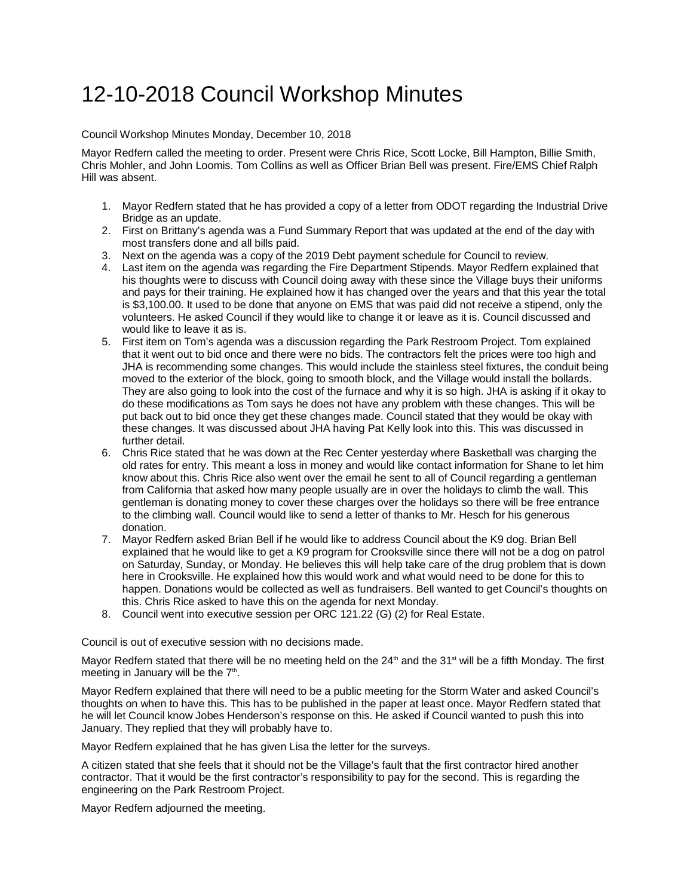## 12-10-2018 Council Workshop Minutes

Council Workshop Minutes Monday, December 10, 2018

Mayor Redfern called the meeting to order. Present were Chris Rice, Scott Locke, Bill Hampton, Billie Smith, Chris Mohler, and John Loomis. Tom Collins as well as Officer Brian Bell was present. Fire/EMS Chief Ralph Hill was absent.

- 1. Mayor Redfern stated that he has provided a copy of a letter from ODOT regarding the Industrial Drive Bridge as an update.
- 2. First on Brittany's agenda was a Fund Summary Report that was updated at the end of the day with most transfers done and all bills paid.
- 3. Next on the agenda was a copy of the 2019 Debt payment schedule for Council to review.
- 4. Last item on the agenda was regarding the Fire Department Stipends. Mayor Redfern explained that his thoughts were to discuss with Council doing away with these since the Village buys their uniforms and pays for their training. He explained how it has changed over the years and that this year the total is \$3,100.00. It used to be done that anyone on EMS that was paid did not receive a stipend, only the volunteers. He asked Council if they would like to change it or leave as it is. Council discussed and would like to leave it as is.
- 5. First item on Tom's agenda was a discussion regarding the Park Restroom Project. Tom explained that it went out to bid once and there were no bids. The contractors felt the prices were too high and JHA is recommending some changes. This would include the stainless steel fixtures, the conduit being moved to the exterior of the block, going to smooth block, and the Village would install the bollards. They are also going to look into the cost of the furnace and why it is so high. JHA is asking if it okay to do these modifications as Tom says he does not have any problem with these changes. This will be put back out to bid once they get these changes made. Council stated that they would be okay with these changes. It was discussed about JHA having Pat Kelly look into this. This was discussed in further detail.
- 6. Chris Rice stated that he was down at the Rec Center yesterday where Basketball was charging the old rates for entry. This meant a loss in money and would like contact information for Shane to let him know about this. Chris Rice also went over the email he sent to all of Council regarding a gentleman from California that asked how many people usually are in over the holidays to climb the wall. This gentleman is donating money to cover these charges over the holidays so there will be free entrance to the climbing wall. Council would like to send a letter of thanks to Mr. Hesch for his generous donation.
- 7. Mayor Redfern asked Brian Bell if he would like to address Council about the K9 dog. Brian Bell explained that he would like to get a K9 program for Crooksville since there will not be a dog on patrol on Saturday, Sunday, or Monday. He believes this will help take care of the drug problem that is down here in Crooksville. He explained how this would work and what would need to be done for this to happen. Donations would be collected as well as fundraisers. Bell wanted to get Council's thoughts on this. Chris Rice asked to have this on the agenda for next Monday.
- 8. Council went into executive session per ORC 121.22 (G) (2) for Real Estate.

Council is out of executive session with no decisions made.

Mayor Redfern stated that there will be no meeting held on the  $24<sup>th</sup>$  and the  $31<sup>st</sup>$  will be a fifth Monday. The first meeting in January will be the  $7<sup>th</sup>$ .

Mayor Redfern explained that there will need to be a public meeting for the Storm Water and asked Council's thoughts on when to have this. This has to be published in the paper at least once. Mayor Redfern stated that he will let Council know Jobes Henderson's response on this. He asked if Council wanted to push this into January. They replied that they will probably have to.

Mayor Redfern explained that he has given Lisa the letter for the surveys.

A citizen stated that she feels that it should not be the Village's fault that the first contractor hired another contractor. That it would be the first contractor's responsibility to pay for the second. This is regarding the engineering on the Park Restroom Project.

Mayor Redfern adjourned the meeting.